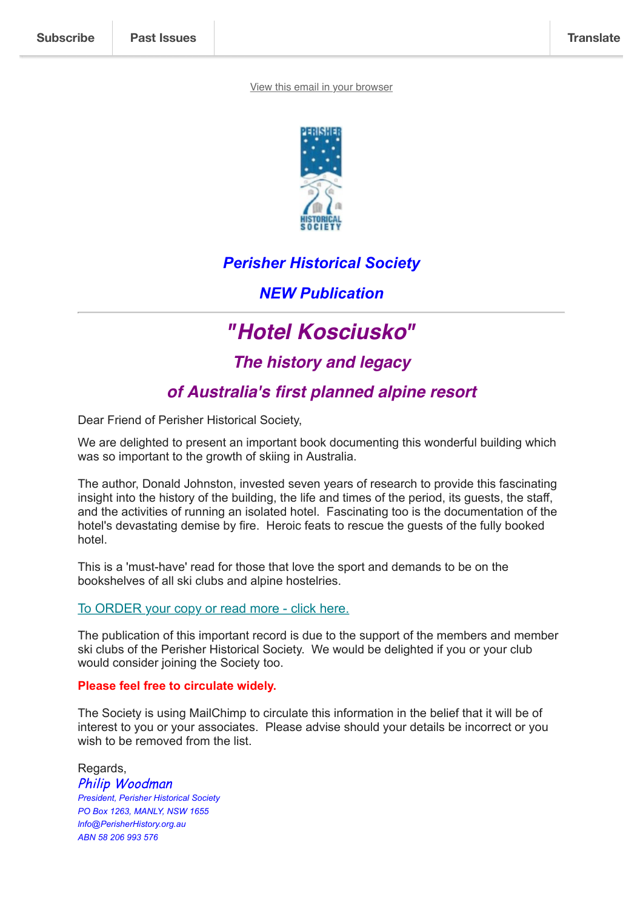#### [View this email in your browser](https://mailchi.mp/5d490132a5ab/perisher-historical-society-new-publication-hotel-kosciusko?e=d6ec88816b)



## *Perisher Historical Society*

*NEW Publication*

# *"Hotel Kosciusko"*

*The history and legacy*

# *of Australia's first planned alpine resort*

Dear Friend of Perisher Historical Society,

We are delighted to present an important book documenting this wonderful building which was so important to the growth of skiing in Australia.

The author, Donald Johnston, invested seven years of research to provide this fascinating insight into the history of the building, the life and times of the period, its guests, the staff, and the activities of running an isolated hotel. Fascinating too is the documentation of the hotel's devastating demise by fire. Heroic feats to rescue the guests of the fully booked hotel.

This is a 'must-have' read for those that love the sport and demands to be on the bookshelves of all ski clubs and alpine hostelries.

### [To ORDER your copy or read more - click here.](https://perisherhistory.org.au/hotel-kosciusko-order-form/)

The publication of this important record is due to the support of the members and member ski clubs of the Perisher Historical Society. We would be delighted if you or your club would consider joining the Society too.

#### **Please feel free to circulate widely.**

The Society is using MailChimp to circulate this information in the belief that it will be of interest to you or your associates. Please advise should your details be incorrect or you wish to be removed from the list.

Regards, Philip Woodman *President, Perisher Historical Society PO Box 1263, MANLY, NSW 1655 lnfo@PerisherHistory.org.au ABN 58 206 993 576*